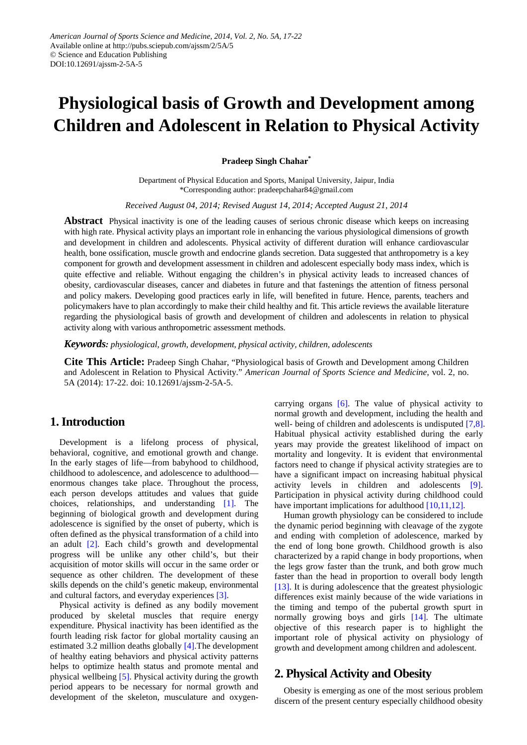# **Physiological basis of Growth and Development among Children and Adolescent in Relation to Physical Activity**

#### **Pradeep Singh Chahar\***

Department of Physical Education and Sports, Manipal University, Jaipur, India \*Corresponding author: pradeepchahar84@gmail.com

*Received August 04, 2014; Revised August 14, 2014; Accepted August 21, 2014*

**Abstract** Physical inactivity is one of the leading causes of serious chronic disease which keeps on increasing with high rate. Physical activity plays an important role in enhancing the various physiological dimensions of growth and development in children and adolescents. Physical activity of different duration will enhance cardiovascular health, bone ossification, muscle growth and endocrine glands secretion. Data suggested that anthropometry is a key component for growth and development assessment in children and adolescent especially body mass index, which is quite effective and reliable. Without engaging the children's in physical activity leads to increased chances of obesity, cardiovascular diseases, cancer and diabetes in future and that fastenings the attention of fitness personal and policy makers. Developing good practices early in life, will benefited in future. Hence, parents, teachers and policymakers have to plan accordingly to make their child healthy and fit. This article reviews the available literature regarding the physiological basis of growth and development of children and adolescents in relation to physical activity along with various anthropometric assessment methods.

*Keywords: physiological, growth, development, physical activity, children, adolescents*

**Cite This Article:** Pradeep Singh Chahar, "Physiological basis of Growth and Development among Children and Adolescent in Relation to Physical Activity." *American Journal of Sports Science and Medicine*, vol. 2, no. 5A (2014): 17-22. doi: 10.12691/ajssm-2-5A-5.

## **1. Introduction**

Development is a lifelong process of physical, behavioral, cognitive, and emotional growth and change. In the early stages of life—from babyhood to childhood, childhood to adolescence, and adolescence to adulthood enormous changes take place. Throughout the process, each person develops attitudes and values that guide choices, relationships, and understanding [\[1\].](#page-3-0) The beginning of biological growth and development during adolescence is signified by the onset of puberty, which is often defined as the physical transformation of a child into an adult [\[2\].](#page-3-1) Each child's growth and developmental progress will be unlike any other child's, but their acquisition of motor skills will occur in the same order or sequence as other children. The development of these skills depends on the child's genetic makeup, environmental and cultural factors, and everyday experiences [\[3\].](#page-3-2)

Physical activity is defined as any bodily movement produced by skeletal muscles that require energy expenditure. Physical inactivity has been identified as the fourth leading risk factor for global mortality causing an estimated 3.2 million deaths globally [\[4\].](#page-3-3)The development of healthy eating behaviors and physical activity patterns helps to optimize health status and promote mental and physical wellbeing [\[5\].](#page-3-4) Physical activity during the growth period appears to be necessary for normal growth and development of the skeleton, musculature and oxygencarrying organs [\[6\].](#page-3-5) The value of physical activity to normal growth and development, including the health and well- being of children and adolescents is undisputed [\[7,8\].](#page-3-6) Habitual physical activity established during the early years may provide the greatest likelihood of impact on mortality and longevity. It is evident that environmental factors need to change if physical activity strategies are to have a significant impact on increasing habitual physical activity levels in children and adolescents [\[9\].](#page-3-7) Participation in physical activity during childhood could have important implications for adulthoo[d \[10,11,12\].](#page-3-8)

Human growth physiology can be considered to include the dynamic period beginning with cleavage of the zygote and ending with completion of adolescence, marked by the end of long bone growth. Childhood growth is also characterized by a rapid change in body proportions, when the legs grow faster than the trunk, and both grow much faster than the head in proportion to overall body length [\[13\].](#page-3-9) It is during adolescence that the greatest physiologic differences exist mainly because of the wide variations in the timing and tempo of the pubertal growth spurt in normally growing boys and girls [\[14\].](#page-3-10) The ultimate objective of this research paper is to highlight the important role of physical activity on physiology of growth and development among children and adolescent.

## **2. Physical Activity and Obesity**

Obesity is emerging as one of the most serious problem discern of the present century especially childhood obesity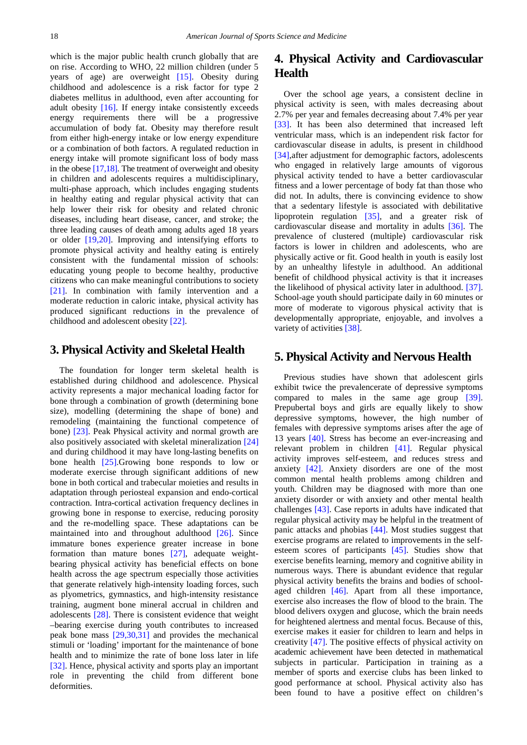which is the major public health crunch globally that are on rise. According to WHO, 22 million children (under 5 years of age) are overweight [\[15\].](#page-3-11) Obesity during childhood and adolescence is a risk factor for type 2 diabetes mellitus in adulthood, even after accounting for adult obesity [\[16\].](#page-3-12) If energy intake consistently exceeds energy requirements there will be a progressive accumulation of body fat. Obesity may therefore result from either high-energy intake or low energy expenditure or a combination of both factors. A regulated reduction in energy intake will promote significant loss of body mass in the obese  $[17,18]$ . The treatment of overweight and obesity in children and adolescents requires a multidisciplinary, multi-phase approach, which includes engaging students in healthy eating and regular physical activity that can help lower their risk for obesity and related chronic diseases, including heart disease, cancer, and stroke; the three leading causes of death among adults aged 18 years or older [\[19,20\].](#page-3-14) Improving and intensifying efforts to promote physical activity and healthy eating is entirely consistent with the fundamental mission of schools: educating young people to become healthy, productive citizens who can make meaningful contributions to society [\[21\].](#page-3-15) In combination with family intervention and a moderate reduction in caloric intake, physical activity has produced significant reductions in the prevalence of childhood and adolescent obesity [\[22\].](#page-3-16)

#### **3. Physical Activity and Skeletal Health**

The foundation for longer term skeletal health is established during childhood and adolescence. Physical activity represents a major mechanical loading factor for bone through a combination of growth (determining bone size), modelling (determining the shape of bone) and remodeling (maintaining the functional competence of bone) [\[23\].](#page-3-17) Peak Physical activity and normal growth are also positively associated with skeletal mineralization [\[24\]](#page-3-18) and during childhood it may have long-lasting benefits on bone health [\[25\].](#page-3-19)Growing bone responds to low or moderate exercise through significant additions of new bone in both cortical and trabecular moieties and results in adaptation through periosteal expansion and endo-cortical contraction. Intra-cortical activation frequency declines in growing bone in response to exercise, reducing porosity and the re-modelling space. These adaptations can be maintained into and throughout adulthood [\[26\].](#page-3-20) Since immature bones experience greater increase in bone formation than mature bones [\[27\],](#page-3-21) adequate weightbearing physical activity has beneficial effects on bone health across the age spectrum especially those activities that generate relatively high-intensity loading forces, such as plyometrics, gymnastics, and high-intensity resistance training, augment bone mineral accrual in children and adolescents [\[28\].](#page-3-22) There is consistent evidence that weight –bearing exercise during youth contributes to increased peak bone mass [\[29,30,31\]](#page-3-23) and provides the mechanical stimuli or 'loading' important for the maintenance of bone health and to minimize the rate of bone loss later in life [\[32\].](#page-3-24) Hence, physical activity and sports play an important role in preventing the child from different bone deformities.

## **4. Physical Activity and Cardiovascular Health**

Over the school age years, a consistent decline in physical activity is seen, with males decreasing about 2.7% per year and females decreasing about 7.4% per year [\[33\].](#page-3-25) It has been also determined that increased left ventricular mass, which is an independent risk factor for cardiovascular disease in adults, is present in childhood [\[34\],](#page-4-0)after adjustment for demographic factors, adolescents who engaged in relatively large amounts of vigorous physical activity tended to have a better cardiovascular fitness and a lower percentage of body fat than those who did not. In adults, there is convincing evidence to show that a sedentary lifestyle is associated with debilitative lipoprotein regulation [\[35\],](#page-4-1) and a greater risk of cardiovascular disease and mortality in adults [\[36\].](#page-4-2) The prevalence of clustered (multiple) cardiovascular risk factors is lower in children and adolescents, who are physically active or fit. Good health in youth is easily lost by an unhealthy lifestyle in adulthood. An additional benefit of childhood physical activity is that it increases the likelihood of physical activity later in adulthood. [\[37\].](#page-4-3) School-age youth should participate daily in 60 minutes or more of moderate to vigorous physical activity that is developmentally appropriate, enjoyable, and involves a variety of activities [\[38\].](#page-4-4)

#### **5. Physical Activity and Nervous Health**

Previous studies have shown that adolescent girls exhibit twice the prevalencerate of depressive symptoms compared to males in the same age group [\[39\].](#page-4-5) Prepubertal boys and girls are equally likely to show depressive symptoms, however, the high number of females with depressive symptoms arises after the age of 13 years [\[40\].](#page-4-6) Stress has become an ever-increasing and relevant problem in children [\[41\].](#page-4-7) Regular physical activity improves self-esteem, and reduces stress and anxiety [\[42\].](#page-4-8) Anxiety disorders are one of the most common mental health problems among children and youth. Children may be diagnosed with more than one anxiety disorder or with anxiety and other mental health challenges [\[43\].](#page-4-9) Case reports in adults have indicated that regular physical activity may be helpful in the treatment of panic attacks and phobias [\[44\].](#page-4-10) Most studies suggest that exercise programs are related to improvements in the selfesteem scores of participants [\[45\].](#page-4-11) Studies show that exercise benefits learning, memory and cognitive ability in numerous ways. There is abundant evidence that regular physical activity benefits the brains and bodies of schoolaged children [\[46\].](#page-4-12) Apart from all these importance, exercise also increases the flow of blood to the brain. The blood delivers oxygen and glucose, which the brain needs for heightened alertness and mental focus. Because of this, exercise makes it easier for children to learn and helps in creativity [\[47\].](#page-4-13) The positive effects of physical activity on academic achievement have been detected in mathematical subjects in particular. Participation in training as a member of sports and exercise clubs has been linked to good performance at school. Physical activity also has been found to have a positive effect on children's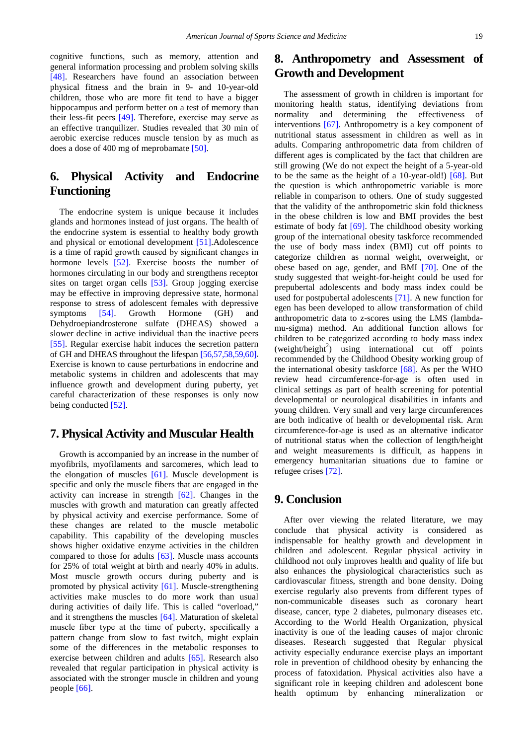cognitive functions, such as memory, attention and general information processing and problem solving skills [\[48\].](#page-4-14) Researchers have found an association between physical fitness and the brain in 9- and 10-year-old children, those who are more fit tend to have a bigger hippocampus and perform better on a test of memory than their less-fit peers [\[49\].](#page-4-15) Therefore, exercise may serve as an effective tranquilizer. Studies revealed that 30 min of aerobic exercise reduces muscle tension by as much as does a dose of 400 mg of meprobamate [\[50\].](#page-4-16)

# **6. Physical Activity and Endocrine Functioning**

The endocrine system is unique because it includes glands and hormones instead of just organs. The health of the endocrine system is essential to healthy body growth and physical or emotional development [\[51\].](#page-4-17)Adolescence is a time of rapid growth caused by significant changes in hormone levels [\[52\].](#page-4-18) Exercise boosts the number of hormones circulating in our body and strengthens receptor sites on target organ cells [\[53\].](#page-4-19) Group jogging exercise may be effective in improving depressive state, hormonal response to stress of adolescent females with depressive symptoms [\[54\].](#page-4-20) Growth Hormone (GH) and Dehydroepiandrosterone sulfate (DHEAS) showed a slower decline in active individual than the inactive peers [\[55\].](#page-4-21) Regular exercise habit induces the secretion pattern of GH and DHEAS throughout the lifespan [\[56,57,58,59,60\].](#page-4-22) Exercise is known to cause perturbations in endocrine and metabolic systems in children and adolescents that may influence growth and development during puberty, yet careful characterization of these responses is only now being conducted [\[52\].](#page-4-18)

#### **7. Physical Activity and Muscular Health**

Growth is accompanied by an increase in the number of myofibrils, myofilaments and sarcomeres, which lead to the elongation of muscles  $[61]$ . Muscle development is specific and only the muscle fibers that are engaged in the activity can increase in strength [\[62\].](#page-4-24) Changes in the muscles with growth and maturation can greatly affected by physical activity and exercise performance. Some of these changes are related to the muscle metabolic capability. This capability of the developing muscles shows higher oxidative enzyme activities in the children compared to those for adults [\[63\].](#page-4-25) Muscle mass accounts for 25% of total weight at birth and nearly 40% in adults. Most muscle growth occurs during puberty and is promoted by physical activity [\[61\].](#page-4-23) Muscle-strengthening activities make muscles to do more work than usual during activities of daily life. This is called "overload," and it strengthens the muscles [\[64\].](#page-4-26) Maturation of skeletal muscle fiber type at the time of puberty, specifically a pattern change from slow to fast twitch, might explain some of the differences in the metabolic responses to exercise between children and adults [\[65\].](#page-4-27) Research also revealed that regular participation in physical activity is associated with the stronger muscle in children and young people [\[66\].](#page-4-28)

# **8. Anthropometry and Assessment of Growth and Development**

The assessment of growth in children is important for monitoring health status, identifying deviations from normality and determining the effectiveness of interventions [\[67\].](#page-4-29) Anthropometry is a key component of nutritional status assessment in children as well as in adults. Comparing anthropometric data from children of different ages is complicated by the fact that children are still growing (We do not expect the height of a 5-year-old to be the same as the height of a 10-year-old!)  $[68]$ . But the question is which anthropometric variable is more reliable in comparison to others. One of study suggested that the validity of the anthropometric skin fold thickness in the obese children is low and BMI provides the best estimate of body fat [\[69\].](#page-4-31) The childhood obesity working group of the international obesity taskforce recommended the use of body mass index (BMI) cut off points to categorize children as normal weight, overweight, or obese based on age, gender, and BMI [\[70\].](#page-4-32) One of the study suggested that weight-for-height could be used for prepubertal adolescents and body mass index could be used for postpubertal adolescents [\[71\].](#page-4-33) A new function for egen has been developed to allow transformation of child anthropometric data to z-scores using the LMS (lambdamu-sigma) method. An additional function allows for children to be categorized according to body mass index  $(weight/height^2)$  using international cut off points recommended by the Childhood Obesity working group of the international obesity taskforce  $[68]$ . As per the WHO review head circumference-for-age is often used in clinical settings as part of health screening for potential developmental or neurological disabilities in infants and young children. Very small and very large circumferences are both indicative of health or developmental risk. Arm circumference-for-age is used as an alternative indicator of nutritional status when the collection of length/height and weight measurements is difficult, as happens in emergency humanitarian situations due to famine or refugee crises [\[72\].](#page-4-34)

#### **9. Conclusion**

After over viewing the related literature, we may conclude that physical activity is considered as indispensable for healthy growth and development in children and adolescent. Regular physical activity in childhood not only improves health and quality of life but also enhances the physiological characteristics such as cardiovascular fitness, strength and bone density. Doing exercise regularly also prevents from different types of non-communicable diseases such as coronary heart disease, cancer, type 2 diabetes, pulmonary diseases etc. According to the World Health Organization, physical inactivity is one of the leading causes of major chronic diseases. Research suggested that Regular physical activity especially endurance exercise plays an important role in prevention of childhood obesity by enhancing the process of fatoxidation. Physical activities also have a significant role in keeping children and adolescent bone health optimum by enhancing mineralization or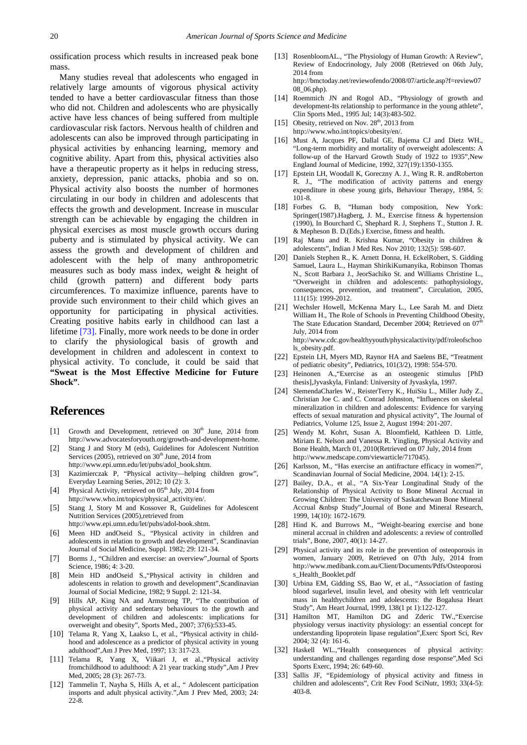ossification process which results in increased peak bone mass.

Many studies reveal that adolescents who engaged in relatively large amounts of vigorous physical activity tended to have a better cardiovascular fitness than those who did not. Children and adolescents who are physically active have less chances of being suffered from multiple cardiovascular risk factors. Nervous health of children and adolescents can also be improved through participating in physical activities by enhancing learning, memory and cognitive ability. Apart from this, physical activities also have a therapeutic property as it helps in reducing stress, anxiety, depression, panic attacks, phobia and so on. Physical activity also boosts the number of hormones circulating in our body in children and adolescents that effects the growth and development. Increase in muscular strength can be achievable by engaging the children in physical exercises as most muscle growth occurs during puberty and is stimulated by physical activity. We can assess the growth and development of children and adolescent with the help of many anthropometric measures such as body mass index, weight & height of child (growth pattern) and different body parts circumferences. To maximize influence, parents have to provide such environment to their child which gives an opportunity for participating in physical activities. Creating positive habits early in childhood can last a lifetime [\[73\].](#page-4-35) Finally, more work needs to be done in order to clarify the physiological basis of growth and development in children and adolescent in context to physical activity. To conclude, it could be said that **"Sweat is the Most Effective Medicine for Future Shock"**.

## **References**

- <span id="page-3-0"></span>[1] Growth and Development, retrieved on  $30<sup>th</sup>$  June, 2014 from http://www.advocatesforyouth.org/growth-and-development-home.
- <span id="page-3-1"></span>[2] Stang J and Story M (eds), Guidelines for Adolescent Nutrition Services (2005), retrieved on  $30<sup>th</sup>$  June, 2014 from http://www.epi.umn.edu/let/pubs/adol\_book.shtm.
- <span id="page-3-2"></span>[3] Kazimierczak P, "Physical activity—helping children grow", Everyday Learning Series, 2012; 10 (2): 3.
- <span id="page-3-3"></span>[4] Physical Activity, retrieved on 05<sup>th</sup> July, 2014 from http://www.who.int/topics/physical\_activity/en/.
- <span id="page-3-4"></span>[5] Stang J, Story M and Kossover R, Guidelines for Adolescent Nutrition Services (2005),retrieved from
- <span id="page-3-5"></span>http://www.epi.umn.edu/let/pubs/adol-book.shtm. [6] Meen HD andOseid S., "Physical activity in children and adolescents in relation to growth and development", Scandinavian Journal of Social Medicine, Suppl. 1982; 29: 121-34.
- <span id="page-3-6"></span>[7] Borms J., "Children and exercise: an overview",Journal of Sports Science, 1986; 4: 3-20.
- [8] Mein HD andOseid S.,"Physical activity in children and adolescents in relation to growth and development",Scandinavian Journal of Social Medicine, 1982; 9 Suppl. 2: 121-34.
- <span id="page-3-7"></span>[9] Hills AP, King NA and Armstrong TP, "The contribution of physical activity and sedentary behaviours to the growth and development of children and adolescents: implications for overweight and obesity", Sports Med., 2007; 37(6):533-45.
- <span id="page-3-8"></span>[10] Telama R, Yang X, Laakso L, et al., "Physical activity in childhood and adolescence as a predictor of physical activity in young adulthood",Am J Prev Med, 1997; 13: 317-23.
- [11] Telama R, Yang X, Viikari J, et al.,"Physical activity fromchildhood to adulthood: A 21 year tracking study",Am J Prev Med, 2005; 28 (3): 267-73.
- [12] Tammelin T, Nayha S, Hills A, et al., " Adolescent participation insports and adult physical activity.",Am J Prev Med, 2003; 24: 22-8.
- <span id="page-3-9"></span>[13] RosenbloomAL., "The Physiology of Human Growth: A Review", Review of Endocrinology, July 2008 (Retrieved on 06th July, 2014 from http://bmctoday.net/reviewofendo/2008/07/article.asp?f=review07 08\_06.php).
- <span id="page-3-10"></span>[14] Roemmich JN and Rogol AD., "Physiology of growth and development-Its relationship to performance in the young athlete", Clin Sports Med., 1995 Jul; 14(3):483-502.
- <span id="page-3-11"></span>[15] Obesity, retrieved on Nov.  $28<sup>th</sup>$ , 2013 from
- http://www.who.int/topics/obesity/en/.
- <span id="page-3-12"></span>[16] Must A, Jacques PF, Dallal GE, Bajema CJ and Dietz WH., "Long-term morbidity and mortality of overweight adolescents: A follow-up of the Harvard Growth Study of 1922 to 1935",New England Journal of Medicine, 1992, 327(19):1350-1355.
- <span id="page-3-13"></span>[17] Epstein LH, Woodall K, Goreczny A. J., Wing R. R. andRoberton R. J., "The modification of activity patterns and energy expenditure in obese young girls, Behaviour Therapy, 1984, 5: 101-8.
- [18] Forbes G. B, "Human body composition, New York: Springer(1987).Hagberg, J. M., Exercise fitness & hypertension (1990), In Bourchard C, Shephard R. J, Stephens T., Stutton J. R. & Mepheson B. D.(Eds.) Exercise, fitness and health.
- <span id="page-3-14"></span>[19] Raj Manu and R. Krishna Kumar, "Obesity in children & adolescents", Indian J Med Res. Nov 2010; 132(5): 598-607.
- [20] Daniels Stephen R., K. Arnett Donna, H. EckelRobert, S. Gidding Samuel, Laura L., Hayman ShirikiKumanyika, Robinson Thomas N., Scott Barbara J., JeorSachiko St. and Williams Christine L., "Overweight in children and adolescents: pathophysiology, consequences, prevention, and treatment", Circulation, 2005, 111(15): 1999-2012.
- <span id="page-3-15"></span>[21] Wechsler Howell, McKenna Mary L., Lee Sarah M. and Dietz William H., The Role of Schools in Preventing Childhood Obesity, The State Education Standard, December 2004; Retrieved on  $07^{\text{th}}$ July, 2014 from http://www.cdc.gov/healthyyouth/physicalactivity/pdf/roleofschoo

ls\_obesity.pdf.

- <span id="page-3-16"></span>[22] Epstein LH, Myers MD, Raynor HA and Saelens BE, "Treatment of pediatric obesity", Pediatrics, 101(3/2), 1998: 554-570.
- <span id="page-3-17"></span>[23] Heinonen A.,"Exercise as an osteogenic stimulus [PhD thesis],Jyvaskyla, Finland: University of Jyvaskyla, 1997.
- <span id="page-3-18"></span>[24] SlemendaCharles W., ReisterTerry K., HuiSiu L., Miller Judy Z., Christian Joe C. and C. Conrad Johnston, "Influences on skeletal mineralization in children and adolescents: Evidence for varying effects of sexual maturation and physical activity", The Journal of Pediatrics, Volume 125, Issue 2, August 1994: 201-207.
- <span id="page-3-19"></span>[25] Wendy M. Kohrt, Susan A. Bloomfield, Kathleen D. Little, Miriam E. Nelson and Vanessa R. Yingling, Physical Activity and Bone Health, March 01, 2010(Retrieved on 07 July, 2014 from http://www.medscape.com/viewarticle/717045).
- <span id="page-3-20"></span>[26] Karlsson, M., "Has exercise an antifracture efficacy in women?", Scandinavian Journal of Social Medicine, 2004. 14(1): 2-15.
- <span id="page-3-21"></span>[27] Bailey, D.A., et al., "A Six-Year Longitudinal Study of the Relationship of Physical Activity to Bone Mineral Accrual in Growing Children: The University of Saskatchewan Bone Mineral Accrual &nbsp Study",Journal of Bone and Mineral Research, 1999, 14(10): 1672-1679.
- <span id="page-3-22"></span>[28] Hind K. and Burrows M., "Weight-bearing exercise and bone mineral accrual in children and adolescents: a review of controlled trials", Bone, 2007, 40(1): 14-27.
- <span id="page-3-23"></span>[29] Physical activity and its role in the prevention of osteoporosis in women, January 2009, Retrieved on 07th July, 2014 from http://www.medibank.com.au/Client/Documents/Pdfs/Osteoporosi s\_Health\_Booklet.pdf
- [30] Urbina EM, Gidding SS, Bao W, et al., "Association of fasting blood sugarlevel, insulin level, and obesity with left ventricular mass in healthychildren and adolescents: the Bogalusa Heart Study", Am Heart Journal, 1999, 138(1 pt 1):122-127.
- [31] Hamilton MT, Hamilton DG and Zderic TW., "Exercise physiology versus inactivity physiology: an essential concept for understanding lipoprotein lipase regulation",Exerc Sport Sci, Rev 2004; 32 (4): 161-6.
- <span id="page-3-24"></span>[32] Haskell WL.,"Health consequences of physical activity: understanding and challenges regarding dose response",Med Sci Sports Exerc, 1994; 26: 649-60.
- <span id="page-3-25"></span>[33] Sallis JF, "Epidemiology of physical activity and fitness in children and adolescents", Crit Rev Food SciNutr, 1993; 33(4-5): 403-8.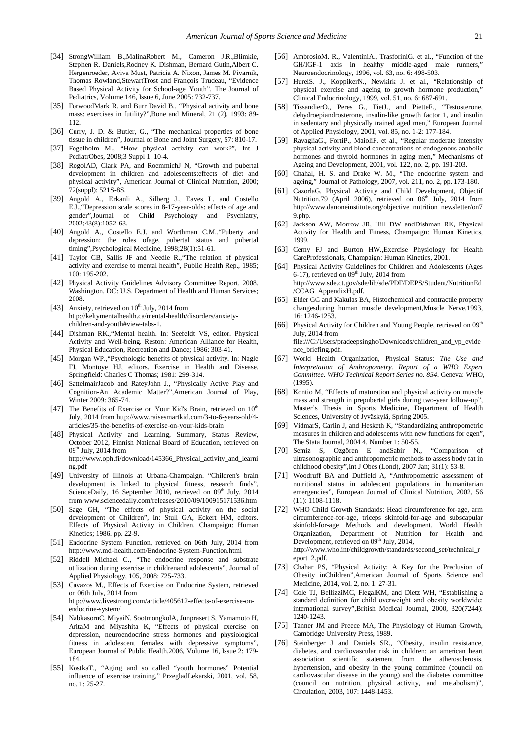- <span id="page-4-0"></span>[34] StrongWilliam B.,MalinaRobert M., Cameron J.R.,Blimkie, Stephen R. Daniels,Rodney K. Dishman, Bernard Gutin,Albert C. Hergenroeder, Aviva Must, Patricia A. Nixon, James M. Pivarnik, Thomas Rowland,StewartTrost and François Trudeau, "Evidence Based Physical Activity for School-age Youth", The Journal of Pediatrics, Volume 146, Issue 6, June 2005: 732-737.
- <span id="page-4-1"></span>[35] ForwoodMark R. and Burr David B., "Physical activity and bone mass: exercises in futility?",Bone and Mineral, 21 (2), 1993: 89- 112.
- <span id="page-4-2"></span>[36] Curry, J. D. & Butler, G., "The mechanical properties of bone tissue in children", Journal of Bone and Joint Surgery, 57: 810-17.
- <span id="page-4-3"></span>[37] Fogelholm M., "How physical activity can work?", Int J PediatrObes, 2008;3 Suppl 1: 10-4.
- <span id="page-4-4"></span>[38] RogolAD, Clark PA, and RoemmichJ N, "Growth and pubertal development in children and adolescents:effects of diet and physical activity", American Journal of Clinical Nutrition, 2000; 72(suppl): 521S-8S.
- <span id="page-4-5"></span>[39] Angold A., Erkanli A., Silberg J., Eaves L. and Costello E.J., "Depression scale scores in 8-17-year-olds: effects of age and gender", Journal of Child Psychology and Psychiatry, Child Psychology and Psychiatry, 2002;43(8):1052-63.
- <span id="page-4-6"></span>[40] Angold A., Costello E.J. and Worthman C.M., "Puberty and depression: the roles ofage, pubertal status and pubertal timing",Psychological Medicine, 1998;28(1):51-61.
- <span id="page-4-7"></span>[41] Taylor CB, Sallis JF and Needle R.,"The relation of physical activity and exercise to mental health", Public Health Rep., 1985; 100: 195-202.
- <span id="page-4-8"></span>[42] Physical Activity Guidelines Advisory Committee Report, 2008. Washington, DC: U.S. Department of Health and Human Services; 2008.
- <span id="page-4-9"></span>[43] Anxiety, retrieved on  $10^{th}$  July, 2014 from http://keltymentalhealth.ca/mental-health/disorders/anxietychildren-and-youth#view-tabs-1.
- <span id="page-4-10"></span>[44] Dishman RK.,"Mental health. In: Seefeldt VS, editor. Physical Activity and Well-being. Reston: American Alliance for Health, Physical Education, Recreation and Dance; 1986: 303-41.
- <span id="page-4-11"></span>[45] Morgan WP.,"Psychologic benefits of physical activity. In: Nagle FJ, Montoye HJ, editors. Exercise in Health and Disease. Springfield: Charles C Thomas; 1981: 299-314.
- <span id="page-4-12"></span>[46] SattelmairJacob and RateyJohn J., "Physically Active Play and Cognition-An Academic Matter?",American Journal of Play, Winter 2009: 365-74.
- <span id="page-4-13"></span>[47] The Benefits of Exercise on Your Kid's Brain, retrieved on 10<sup>th</sup> July, 2014 from http://www.raisesmartkid.com/3-to-6-years-old/4 articles/35-the-benefits-of-exercise-on-your-kids-brain
- <span id="page-4-14"></span>[48] Physical Activity and Learning, Summary, Status Review, October 2012, Finnish National Board of Education, retrieved on  $09<sup>th</sup>$  July, 2014 from http://www.oph.fi/download/145366\_Physical\_activity\_and\_learni ng.pdf
- <span id="page-4-15"></span>[49] University of Illinois at Urbana-Champaign. "Children's brain development is linked to physical fitness, research finds", ScienceDaily, 16 September 2010, retrieved on  $09<sup>th</sup>$  July, 2014 from www.sciencedaily.com/releases/2010/09/100915171536.htm
- <span id="page-4-16"></span>[50] Sage GH, "The effects of physical activity on the social development of Children", In: Stull GA, Eckert HM, editors. Effects of Physical Activity in Children. Champaign: Human Kinetics; 1986. pp. 22-9.
- <span id="page-4-17"></span>[51] Endocrine System Function, retrieved on 06th July, 2014 from http://www.md-health.com/Endocrine-System-Function.html
- <span id="page-4-18"></span>[52] Riddell Michael C., "The endocrine response and substrate utilization during exercise in childrenand adolescents", Journal of Applied Physiology, 105, 2008: 725-733.
- <span id="page-4-19"></span>[53] Cavazos M., Effects of Exercise on Endocrine System, retrieved on 06th July, 2014 from http://www.livestrong.com/article/405612-effects-of-exercise-onendocrine-system/
- <span id="page-4-20"></span>[54] NabkasornC, MiyaiN, SootmongkolA, Junprasert S, Yamamoto H, AritaM and Miyashita K, "Effects of physical exercise on depression, neuroendocrine stress hormones and physiological fitness in adolescent females with depressive symptoms", European Journal of Public Health,2006, Volume 16, Issue 2: 179- 184.
- <span id="page-4-21"></span>[55] KostkaT., "Aging and so called "youth hormones" Potential influence of exercise training," PrzegladLekarski, 2001, vol. 58, no. 1: 25-27.
- <span id="page-4-22"></span>[56] AmbrosioM. R., ValentiniA., TrasforiniG. et al., "Function of the GH/IGF-1 axis in healthy middle-aged male runners,' Neuroendocrinology, 1996, vol. 63, no. 6: 498-503.
- [57] HurelS. J., KoppikerN., Newkirk J. et al., "Relationship of physical exercise and ageing to growth hormone production," Clinical Endocrinology, 1999, vol. 51, no. 6: 687-691.
- [58] TissandierO., Peres G., FietJ., and PietteF., "Testosterone, dehydroepiandrosterone, insulin-like growth factor 1, and insulin in sedentary and physically trained aged men," European Journal of Applied Physiology, 2001, vol. 85, no. 1-2: 177-184.
- [59] RavagliaG., FortiP., MaioliF. et al., "Regular moderate intensity physical activity and blood concentrations of endogenous anabolic hormones and thyroid hormones in aging men," Mechanisms of Ageing and Development, 2001, vol. 122, no. 2, pp. 191-203.
- [60] Chahal, H. S. and Drake W. M., "The endocrine system and ageing," Journal of Pathology, 2007, vol. 211, no. 2, pp. 173-180.
- <span id="page-4-23"></span>[61] CazorlaG, Physical Activity and Child Development, Objectif Nutrition, 79 (April 2006), retrieved on  $06<sup>th</sup>$  July, 2014 from http://www.danoneinstitute.org/objective\_nutrition\_newsletter/on7 9.php.
- <span id="page-4-24"></span>[62] Jackson AW, Morrow JR, Hill DW andDishman RK, Physical Activity for Health and Fitness, Champaign: Human Kinetics, 1999.
- <span id="page-4-25"></span>[63] Cerny FJ and Burton HW.,Exercise Physiology for Health CareProfessionals, Champaign: Human Kinetics, 2001.
- <span id="page-4-26"></span>[64] Physical Activity Guidelines for Children and Adolescents (Ages 6-17), retrieved on  $09<sup>th</sup>$  July, 2014 from http://www.sde.ct.gov/sde/lib/sde/PDF/DEPS/Student/NutritionEd /CCAG\_AppendixH.pdf.
- <span id="page-4-27"></span>[65] Elder GC and Kakulas BA, Histochemical and contractile property changesduring human muscle development,Muscle Nerve,1993, 16: 1246-1253.
- <span id="page-4-28"></span>[66] Physical Activity for Children and Young People, retrieved on 09<sup>th</sup> July, 2014 from file:///C:/Users/pradeepsinghc/Downloads/children\_and\_yp\_evide
- <span id="page-4-29"></span>nce\_briefing.pdf. [67] World Health Organization, Physical Status: *The Use and Interpretation of Anthropometry. Report of a WHO Expert Committee. WHO Technical Report Series no. 854*. Geneva: WHO, (1995).
- <span id="page-4-30"></span>[68] Kontio M, "Effects of maturation and physical activity on muscle mass and strength in prepubertal girls during two-year follow-up", Master's Thesis in Sports Medicine, Department of Health Sciences, University of Jyväskylä, Spring 2005.
- <span id="page-4-31"></span>[69] VidmarS, Carlin J, and Hesketh K, "Standardizing anthropometric measures in children and adolescents with new functions for egen", The Stata Journal, 2004 4, Number 1: 50-55.
- <span id="page-4-32"></span>[70] Semiz S, Ozgören E andSabir N., "Comparison of ultrasonographic and anthropometric methods to assess body fat in childhood obesity",Int J Obes (Lond), 2007 Jan; 31(1): 53-8.
- <span id="page-4-33"></span>[71] Woodruff BA and Duffield A, "Anthropometric assessment of nutritional status in adolescent populations in humanitarian emergencies", European Journal of Clinical Nutrition, 2002, 56 (11): 1108-1118.
- <span id="page-4-34"></span>[72] WHO Child Growth Standards: Head circumference-for-age, arm circumference-for-age, triceps skinfold-for-age and subscapular skinfold-for-age Methods and development, World Health Organization, Department of Nutrition for Health and Development, retrieved on 09<sup>th</sup> July, 2014, http://www.who.int/childgrowth/standards/second\_set/technical\_r eport\_2.pdf.
- <span id="page-4-35"></span>[73] Chahar PS, "Physical Activity: A Key for the Preclusion of Obesity inChildren",American Journal of Sports Science and Medicine, 2014, vol. 2, no. 1: 27-31.
- [74] Cole TJ, BellizziMC, FlegalKM, and Dietz WH, "Establishing a standard definition for child overweight and obesity worldwide: international survey",British Medical Journal, 2000, 320(7244): 1240-1243.
- [75] Tanner JM and Preece MA, The Physiology of Human Growth, Cambridge University Press, 1989.
- [76] Steinberger J and Daniels SR., "Obesity, insulin resistance, diabetes, and cardiovascular risk in children: an american heart association scientific statement from the atherosclerosis, hypertension, and obesity in the young committee (council on cardiovascular disease in the young) and the diabetes committee (council on nutrition, physical activity, and metabolism)", Circulation, 2003, 107: 1448-1453.